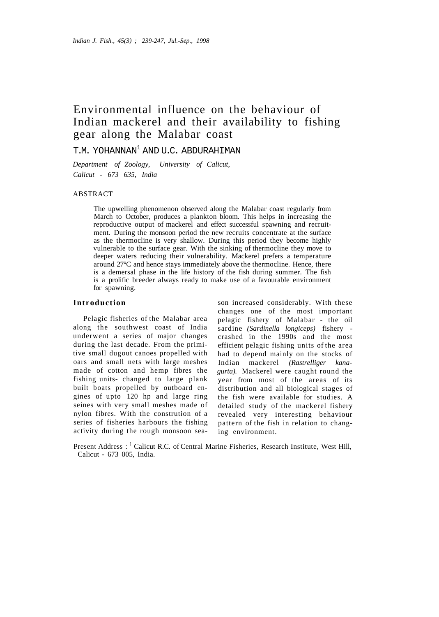# Environmental influence on the behaviour of Indian mackerel and their availability to fishing gear along the Malabar coast

T.M. YOHANNAN<sup>1</sup> AND U.C. ABDURAHIMAN

*Department of Zoology, University of Calicut, Calicut - 673 635, India* 

# ABSTRACT

The upwelling phenomenon observed along the Malabar coast regularly from March to October, produces a plankton bloom. This helps in increasing the reproductive output of mackerel and effect successful spawning and recruitment. During the monsoon period the new recruits concentrate at the surface as the thermocline is very shallow. During this period they become highly vulnerable to the surface gear. With the sinking of thermocline they move to deeper waters reducing their vulnerability. Mackerel prefers a temperature around 27°C and hence stays immediately above the thermocline. Hence, there is a demersal phase in the life history of the fish during summer. The fish is a prolific breeder always ready to make use of a favourable environment for spawning.

# **Introduction**

Pelagic fisheries of the Malabar area along the southwest coast of India underwent a series of major changes during the last decade. From the primitive small dugout canoes propelled with oars and small nets with large meshes made of cotton and hemp fibres the fishing units- changed to large plank built boats propelled by outboard engines of upto 120 hp and large ring seines with very small meshes made of nylon fibres. With the constrution of a series of fisheries harbours the fishing activity during the rough monsoon sea-

son increased considerably. With these changes one of the most important pelagic fishery of Malabar - the oil sardine *(Sardinella longiceps)* fishery crashed in the 1990s and the most efficient pelagic fishing units of the area had to depend mainly on the stocks of Indian mackerel *(Rastrelliger kanagurta).* Mackerel were caught round the year from most of the areas of its distribution and all biological stages of the fish were available for studies. A detailed study of the mackerel fishery revealed very interesting behaviour pattern of the fish in relation to changing environment.

Present Address : <sup>1</sup> Calicut R.C. of Central Marine Fisheries, Research Institute, West Hill, Calicut - 673 005, India.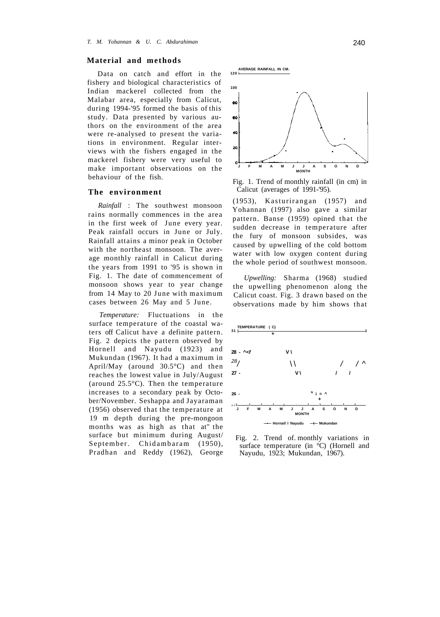## **Material and methods**

Data on catch and effort in the fishery and biological characteristics of Indian mackerel collected from the Malabar area, especially from Calicut, during 1994-'95 formed the basis of this study. Data presented by various authors on the environment of the area were re-analysed to present the variations in environment. Regular interviews with the fishers engaged in the mackerel fishery were very useful to make important observations on the behaviour of the fish.

#### **The environment**

*Rainfall* : The southwest monsoon rains normally commences in the area in the first week of June every year. Peak rainfall occurs in June or July. Rainfall attains a minor peak in October with the northeast monsoon. The average monthly rainfall in Calicut during the years from 1991 to '95 is shown in Fig. 1. The date of commencement of monsoon shows year to year change from 14 May to 20 June with maximum cases between 26 May and 5 June.

*Temperature:* Fluctuations in the surface temperature of the coastal waters off Calicut have a definite pattern. Fig. 2 depicts the pattern observed by Hornell and Nayudu (1923) and Mukundan (1967). It had a maximum in April/May (around 30.5°C) and then reaches the lowest value in July/August (around 25.5°C). Then the temperature increases to a secondary peak by October/November. Seshappa and Jayaraman (1956) observed that the temperature at 19 m depth during the pre-mongoon months was as high as that at" the surface but minimum during August/ September. Chidambaram (1950), Pradhan and Reddy (1962), George



Fig. 1. Trend of monthly rainfall (in cm) in Calicut (averages of 1991-'95).

(1953), Kasturirangan (1957) and Yohannan (1997) also gave a similar pattern. Banse (1959) opined that the sudden decrease in temperature after the fury of monsoon subsides, was caused by upwelling of the cold bottom water with low oxygen content during the whole period of southwest monsoon.

*Upwelling:* Sharma (1968) studied the upwelling phenomenon along the Calicut coast. Fig. 3 drawn based on the observations made by him shows that



Fig. 2. Trend of. monthly variations in surface temperature (in °C) (Hornell and Nayudu, 1923; Mukundan, 1967).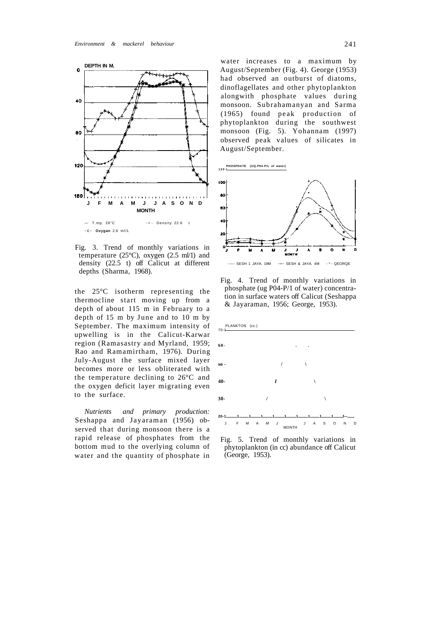

Fig. 3. Trend of monthly variations in temperature (25 $^{\circ}$ C), oxygen (2.5 ml/1) and density (22.5 t) off Calicut at different depths (Sharma, 1968).

the 25°C isotherm representing the thermocline start moving up from a depth of about 115 m in February to a depth of 15 m by June and to 10 m by September. The maximum intensity of upwelling is in the Calicut-Karwar region (Ramasastry and Myrland, 1959; Rao and Ramamirtham, 1976). During July-August the surface mixed layer becomes more or less obliterated with the temperature declining to 26°C and the oxygen deficit layer migrating even to the surface.

*Nutrients and primary production:*  Seshappa and Jayaraman (1956) observed that during monsoon there is a rapid release of phosphates from the bottom mud to the overlying column of water and the quantity of phosphate in water increases to a maximum by August/September (Fig. 4). George (1953) had observed an outburst of diatoms, dinoflagellates and other phytoplankton alongwith phosphate values during monsoon. Subrahamanyan and Sarma (1965) found peak production of phytoplankton during the southwest monsoon (Fig. 5). Yohannam (1997) observed peak values of silicates in August/September.





Fig. 4. Trend of monthly variations in phosphate (ug P04-P/1 of water) concentration in surface waters off Calicut (Seshappa & Jayaraman, 1956; George, 1953).

PLANKTON (cc.) 70-1



Fig. 5. Trend of monthly variations in phytoplankton (in cc) abundance off Calicut (George, 1953).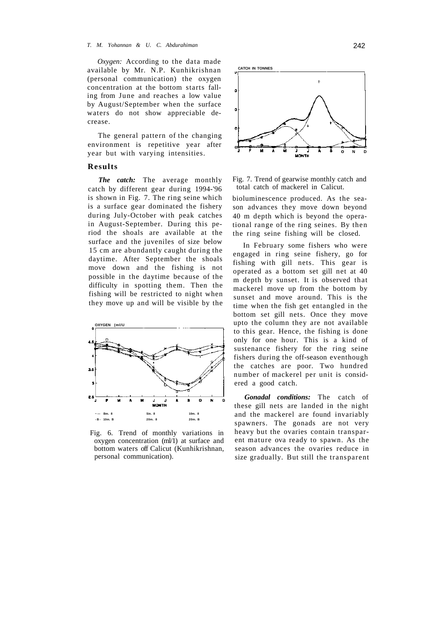#### *T. M. Yohannan & U. C. Abdurahiman* 242

*Oxygen:* According to the data made available by Mr. N.P. Kunhikrishnan (personal communication) the oxygen concentration at the bottom starts falling from June and reaches a low value by August/September when the surface waters do not show appreciable decrease.

The general pattern of the changing environment is repetitive year after year but with varying intensities.

## **Results**

*The catch:* The average monthly catch by different gear during 1994-'96 is shown in Fig. 7. The ring seine which is a surface gear dominated the fishery during July-October with peak catches in August-September. During this period the shoals are available at the surface and the juveniles of size below 15 cm are abundantly caught during the daytime. After September the shoals move down and the fishing is not possible in the daytime because of the difficulty in spotting them. Then the fishing will be restricted to night when they move up and will be visible by the



Fig. 6. Trend of monthly variations in oxygen concentration (ml/1) at surface and bottom waters off Calicut (Kunhikrishnan, personal communication).



Fig. 7. Trend of gearwise monthly catch and total catch of mackerel in Calicut.

bioluminescence produced. As the season advances they move down beyond 40 m depth which is beyond the operational range of the ring seines. By then the ring seine fishing will be closed.

In February some fishers who were engaged in ring seine fishery, go for fishing with gill nets. This gear is operated as a bottom set gill net at 40 m depth by sunset. It is observed that mackerel move up from the bottom by sunset and move around. This is the time when the fish get entangled in the bottom set gill nets. Once they move upto the column they are not available to this gear. Hence, the fishing is done only for one hour. This is a kind of sustenance fishery for the ring seine fishers during the off-season eventhough the catches are poor. Two hundred number of mackerel per unit is considered a good catch.

*Gonadal conditions:* The catch of these gill nets are landed in the night and the mackerel are found invariably spawners. The gonads are not very heavy but the ovaries contain transparent mature ova ready to spawn. As the season advances the ovaries reduce in size gradually. But still the transparent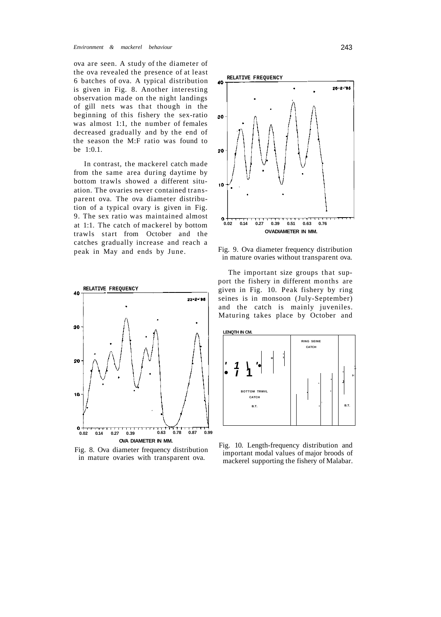ova are seen. A study of the diameter of the ova revealed the presence of at least 6 batches of ova. A typical distribution is given in Fig. 8. Another interesting observation made on the night landings of gill nets was that though in the beginning of this fishery the sex-ratio was almost 1:1, the number of females decreased gradually and by the end of the season the M:F ratio was found to be 1:0.1.

In contrast, the mackerel catch made from the same area during daytime by bottom trawls showed a different situation. The ovaries never contained transparent ova. The ova diameter distribution of a typical ovary is given in Fig. 9. The sex ratio was maintained almost at 1:1. The catch of mackerel by bottom trawls start from October and the catches gradually increase and reach a peak in May and ends by June.



Fig. 8. Ova diameter frequency distribution in mature ovaries with transparent ova.



Fig. 9. Ova diameter frequency distribution in mature ovaries without transparent ova.

The important size groups that support the fishery in different months are given in Fig. 10. Peak fishery by ring seines is in monsoon (July-September) and the catch is mainly juveniles. Maturing takes place by October and



Fig. 10. Length-frequency distribution and important modal values of major broods of mackerel supporting the fishery of Malabar.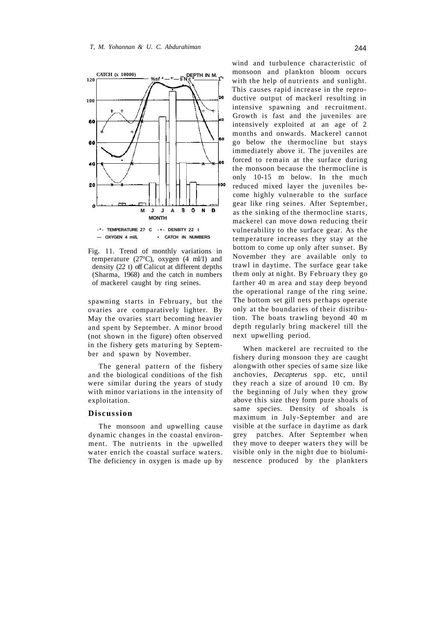

Fig. 11. Trend of monthly variations in temperature (27 $\textdegree$ C), oxygen (4 ml/1) and density (22 t) off Calicut at different depths (Sharma, 1968) and the catch in numbers of mackerel caught by ring seines.

spawning starts in February, but the ovaries are comparatively lighter. By May the ovaries start becoming heavier and spent by September. A minor brood (not shown in the figure) often observed in the fishery gets maturing by September and spawn by November.

The general pattern of the fishery and the biological conditions of the fish were similar during the years of study with minor variations in the intensity of exploitation.

#### **Discussion**

The monsoon and upwelling cause dynamic changes in the coastal environment. The nutrients in the upwelled water enrich the coastal surface waters. The deficiency in oxygen is made up by wind and turbulence characteristic of monsoon and plankton bloom occurs with the help of nutrients and sunlight. This causes rapid increase in the reproductive output of mackerl resulting in intensive spawning and recruitment. Growth is fast and the juveniles are intensively exploited at an age of 2 months and onwards. Mackerel cannot go below the thermocline but stays immediately above it. The juveniles are forced to remain at the surface during the monsoon because the thermocline is only 10-15 m below. In the much reduced mixed layer the juveniles become highly vulnerable to the surface gear like ring seines. After September, as the sinking of the thermocline starts, mackerel can move down reducing their vulnerability to the surface gear. As the temperature increases they stay at the bottom to come up only after sunset. By November they are available only to trawl in daytime. The surface gear take them only at night. By February they go farther 40 m area and stay deep beyond the operational range of the ring seine. The bottom set gill nets perhaps operate only at the boundaries of their distribution. The boats trawling beyond 40 m depth regularly bring mackerel till the next upwelling period.

When mackerel are recruited to the fishery during monsoon they are caught alongwith other species of same size like anchovies, *Decapterus* spp. etc, until they reach a size of around 10 cm. By the beginning of July when they grow above this size they form pure shoals of same species. Density of shoals is maximum in July-September and are visible at the surface in daytime as dark grey patches. After September when they move to deeper waters they will be visible only in the night due to bioluminescence produced by the plankters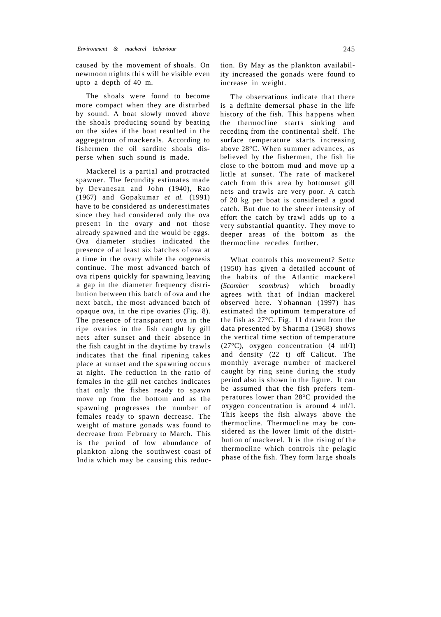caused by the movement of shoals. On newmoon nights this will be visible even upto a depth of 40 m.

The shoals were found to become more compact when they are disturbed by sound. A boat slowly moved above the shoals producing sound by beating on the sides if the boat resulted in the aggregatron of mackerals. According to fishermen the oil sardine shoals disperse when such sound is made.

Mackerel is a partial and protracted spawner. The fecundity estimates made by Devanesan and John (1940), Rao (1967) and Gopakumar *et al.* (1991) have to be considered as underestimates since they had considered only the ova present in the ovary and not those already spawned and the would be eggs. Ova diameter studies indicated the presence of at least six batches of ova at a time in the ovary while the oogenesis continue. The most advanced batch of ova ripens quickly for spawning leaving a gap in the diameter frequency distribution between this batch of ova and the next batch, the most advanced batch of opaque ova, in the ripe ovaries (Fig. 8). The presence of transparent ova in the ripe ovaries in the fish caught by gill nets after sunset and their absence in the fish caught in the daytime by trawls indicates that the final ripening takes place at sunset and the spawning occurs at night. The reduction in the ratio of females in the gill net catches indicates that only the fishes ready to spawn move up from the bottom and as the spawning progresses the number of females ready to spawn decrease. The weight of mature gonads was found to decrease from February to March. This is the period of low abundance of plankton along the southwest coast of India which may be causing this reduction. By May as the plankton availability increased the gonads were found to increase in weight.

The observations indicate that there is a definite demersal phase in the life history of the fish. This happens when the thermocline starts sinking and receding from the continental shelf. The surface temperature starts increasing above 28°C. When summer advances, as believed by the fishermen, the fish lie close to the bottom mud and move up a little at sunset. The rate of mackerel catch from this area by bottomset gill nets and trawls are very poor. A catch of 20 kg per boat is considered a good catch. But due to the sheer intensity of effort the catch by trawl adds up to a very substantial quantity. They move to deeper areas of the bottom as the thermocline recedes further.

What controls this movement? Sette (1950) has given a detailed account of the habits of the Atlantic mackerel *(Scomber scombrus)* which broadly agrees with that of Indian mackerel observed here. Yohannan (1997) has estimated the optimum temperature of the fish as 27°C. Fig. 11 drawn from the data presented by Sharma (1968) shows the vertical time section of temperature (27°C), oxygen concentration (4 ml/1) and density (22 t) off Calicut. The monthly average number of mackerel caught by ring seine during the study period also is shown in the figure. It can be assumed that the fish prefers temperatures lower than 28°C provided the oxygen concentration is around 4 ml/1. This keeps the fish always above the thermocline. Thermocline may be considered as the lower limit of the distribution of mackerel. It is the rising of the thermocline which controls the pelagic phase of the fish. They form large shoals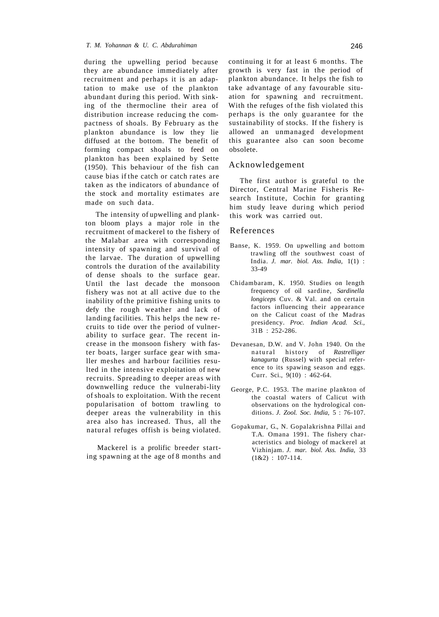during the upwelling period because they are abundance immediately after recruitment and perhaps it is an adaptation to make use of the plankton abundant during this period. With sinking of the thermocline their area of distribution increase reducing the compactness of shoals. By February as the plankton abundance is low they lie diffused at the bottom. The benefit of forming compact shoals to feed on plankton has been explained by Sette (1950). This behaviour of the fish can cause bias if the catch or catch rates are taken as the indicators of abundance of the stock and mortality estimates are made on such data.

The intensity of upwelling and plankton bloom plays a major role in the recruitment of mackerel to the fishery of the Malabar area with corresponding intensity of spawning and survival of the larvae. The duration of upwelling controls the duration of the availability of dense shoals to the surface gear. Until the last decade the monsoon fishery was not at all active due to the inability of the primitive fishing units to defy the rough weather and lack of landing facilities. This helps the new recruits to tide over the period of vulnerability to surface gear. The recent increase in the monsoon fishery with faster boats, larger surface gear with smaller meshes and harbour facilities resulted in the intensive exploitation of new recruits. Spreading to deeper areas with downwelling reduce the vulnerabi-lity of shoals to exploitation. With the recent popularisation of bottom trawling to deeper areas the vulnerability in this area also has increased. Thus, all the natural refuges offish is being violated.

Mackerel is a prolific breeder starting spawning at the age of 8 months and continuing it for at least 6 months. The growth is very fast in the period of plankton abundance. It helps the fish to take advantage of any favourable situation for spawning and recruitment. With the refuges of the fish violated this perhaps is the only guarantee for the sustainability of stocks. If the fishery is allowed an unmanaged development this guarantee also can soon become obsolete.

# Acknowledgement

The first author is grateful to the Director, Central Marine Fisheris Research Institute, Cochin for granting him study leave during which period this work was carried out.

## References

- Banse, K. 1959. On upwelling and bottom trawling off the southwest coast of India. *J. mar. biol. Ass. India,* 1(1) : 33-49
- Chidambaram, K. 1950. Studies on length frequency of oil sardine, *Sardinella longiceps* Cuv. & Val. and on certain factors influencing their appearance on the Calicut coast of the Madras presidency. *Proc. Indian Acad. Sci.,*  31B : 252-286.
- Devanesan, D.W. and V. John 1940. On the natural history of Rastrelliger *kanagurta* (Russel) with special reference to its spawing season and eggs. Curr. Sci., 9(10) : 462-64.
- George, P.C. 1953. The marine plankton of the coastal waters of Calicut with observations on the hydrological conditions. *J. Zool. Soc. India,* 5 : 76-107.
- Gopakumar, G., N. Gopalakrishna Pillai and T.A. Omana 1991. The fishery characteristics and biology of mackerel at Vizhinjam. *J. mar. biol. Ass. India,* 33  $(1&2)$ : 107-114.